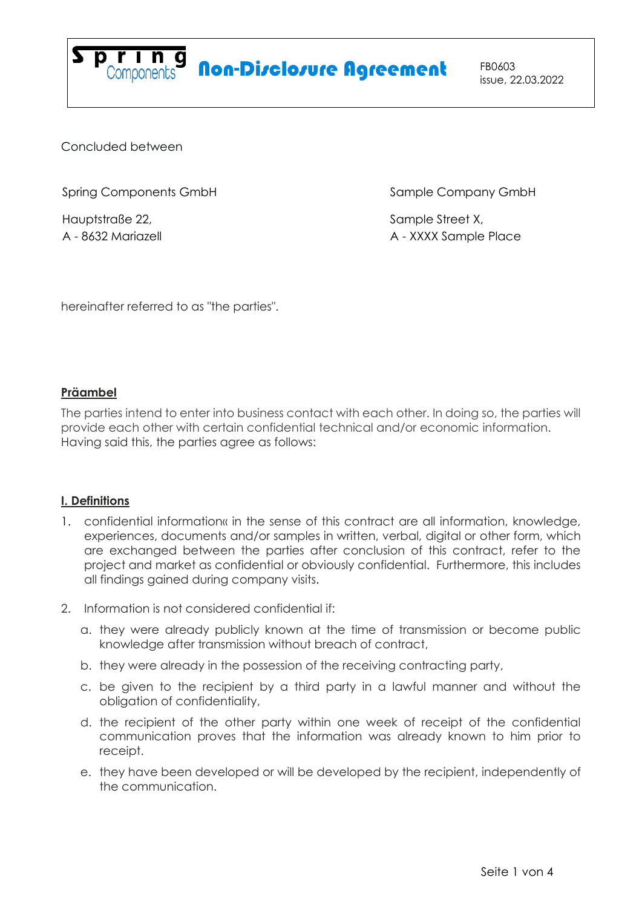

# Spring<br>Components **Non-Disclosure Agreement** FB0603

Concluded between

Spring Components GmbH

Hauptstraße 22, A - 8632 Mariazell Sample Company GmbH

Sample Street X, A - XXXX Sample Place

hereinafter referred to as "the parties".

# **Präambel**

The parties intend to enter into business contact with each other. In doing so, the parties will provide each other with certain confidential technical and/or economic information. Having said this, the parties agree as follows:

# **I. Definitions**

- 1. confidential information« in the sense of this contract are all information, knowledge, experiences, documents and/or samples in written, verbal, digital or other form, which are exchanged between the parties after conclusion of this contract, refer to the project and market as confidential or obviously confidential. Furthermore, this includes all findings gained during company visits.
- 2. Information is not considered confidential if:
	- a. they were already publicly known at the time of transmission or become public knowledge after transmission without breach of contract,
	- b. they were already in the possession of the receiving contracting party,
	- c. be given to the recipient by a third party in a lawful manner and without the obligation of confidentiality,
	- d. the recipient of the other party within one week of receipt of the confidential communication proves that the information was already known to him prior to receipt.
	- e. they have been developed or will be developed by the recipient, independently of the communication.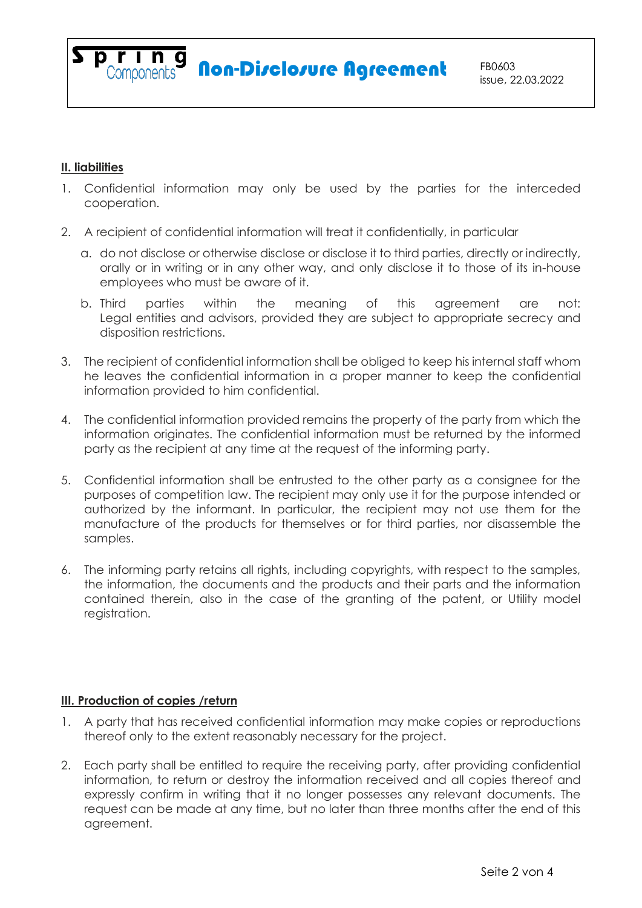## **II. liabilities**

- 1. Confidential information may only be used by the parties for the interceded cooperation.
- 2. A recipient of confidential information will treat it confidentially, in particular
	- a. do not disclose or otherwise disclose or disclose it to third parties, directly or indirectly, orally or in writing or in any other way, and only disclose it to those of its in-house employees who must be aware of it.
	- b. Third parties within the meaning of this agreement are not: Legal entities and advisors, provided they are subject to appropriate secrecy and disposition restrictions.
- 3. The recipient of confidential information shall be obliged to keep his internal staff whom he leaves the confidential information in a proper manner to keep the confidential information provided to him confidential.
- 4. The confidential information provided remains the property of the party from which the information originates. The confidential information must be returned by the informed party as the recipient at any time at the request of the informing party.
- 5. Confidential information shall be entrusted to the other party as a consignee for the purposes of competition law. The recipient may only use it for the purpose intended or authorized by the informant. In particular, the recipient may not use them for the manufacture of the products for themselves or for third parties, nor disassemble the samples.
- 6. The informing party retains all rights, including copyrights, with respect to the samples, the information, the documents and the products and their parts and the information contained therein, also in the case of the granting of the patent, or Utility model registration.

#### **III. Production of copies /return**

- 1. A party that has received confidential information may make copies or reproductions thereof only to the extent reasonably necessary for the project.
- 2. Each party shall be entitled to require the receiving party, after providing confidential information, to return or destroy the information received and all copies thereof and expressly confirm in writing that it no longer possesses any relevant documents. The request can be made at any time, but no later than three months after the end of this agreement.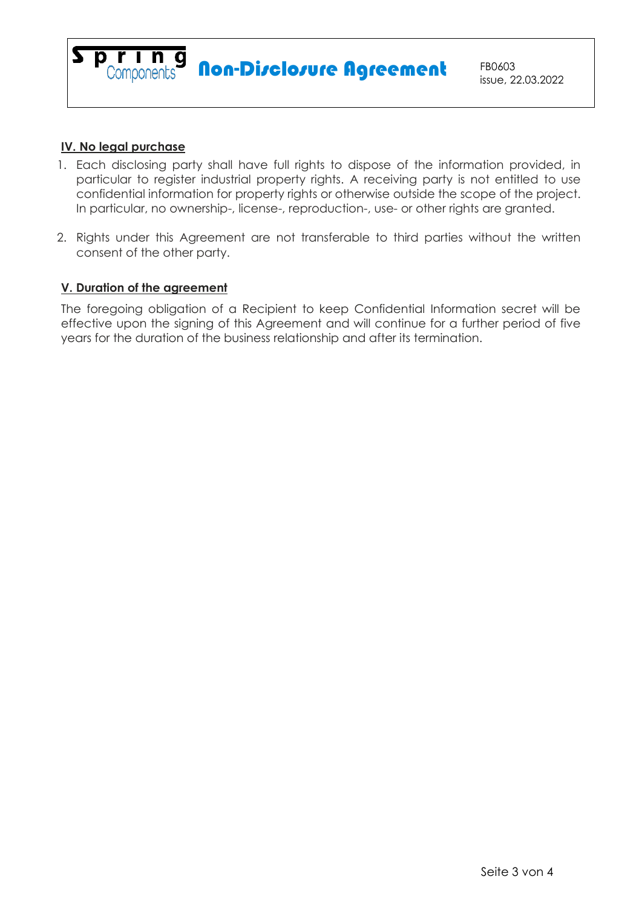

#### **IV. No legal purchase**

- 1. Each disclosing party shall have full rights to dispose of the information provided, in particular to register industrial property rights. A receiving party is not entitled to use confidential information for property rights or otherwise outside the scope of the project. In particular, no ownership-, license-, reproduction-, use- or other rights are granted.
- 2. Rights under this Agreement are not transferable to third parties without the written consent of the other party.

### **V. Duration of the agreement**

The foregoing obligation of a Recipient to keep Confidential Information secret will be effective upon the signing of this Agreement and will continue for a further period of five years for the duration of the business relationship and after its termination.